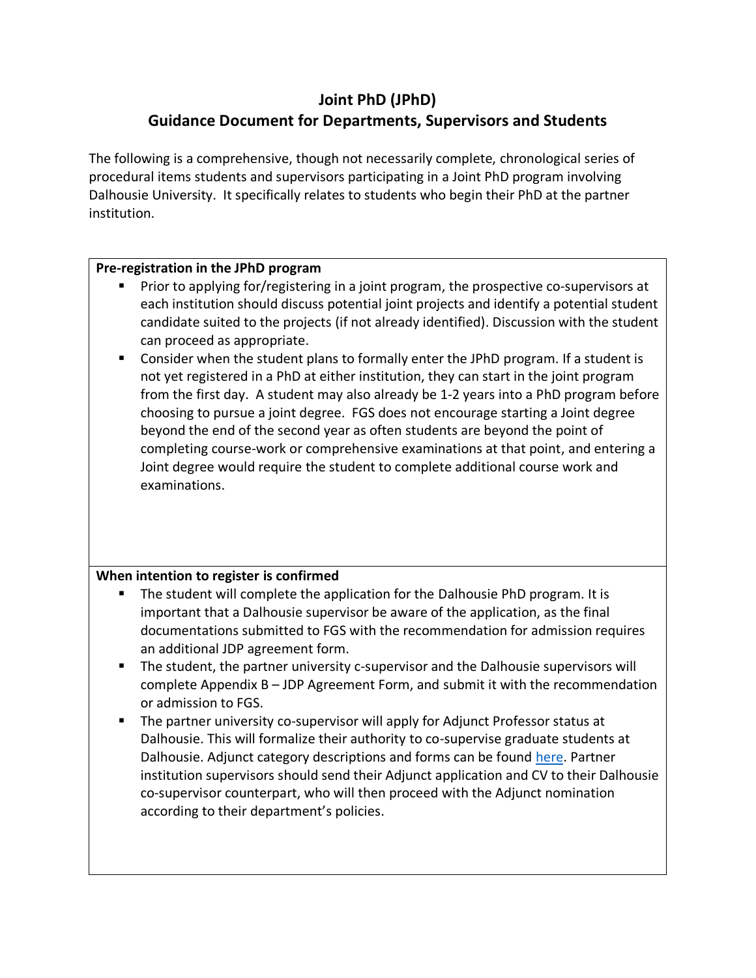# **Joint PhD (JPhD) Guidance Document for Departments, Supervisors and Students**

The following is a comprehensive, though not necessarily complete, chronological series of procedural items students and supervisors participating in a Joint PhD program involving Dalhousie University. It specifically relates to students who begin their PhD at the partner institution.

#### **Pre-registration in the JPhD program**

- Prior to applying for/registering in a joint program, the prospective co-supervisors at each institution should discuss potential joint projects and identify a potential student candidate suited to the projects (if not already identified). Discussion with the student can proceed as appropriate.
- Consider when the student plans to formally enter the JPhD program. If a student is not yet registered in a PhD at either institution, they can start in the joint program from the first day. A student may also already be 1-2 years into a PhD program before choosing to pursue a joint degree. FGS does not encourage starting a Joint degree beyond the end of the second year as often students are beyond the point of completing course-work or comprehensive examinations at that point, and entering a Joint degree would require the student to complete additional course work and examinations.

# **When intention to register is confirmed**

- The student will complete the application for the Dalhousie PhD program. It is important that a Dalhousie supervisor be aware of the application, as the final documentations submitted to FGS with the recommendation for admission requires an additional JDP agreement form.
- The student, the partner university c-supervisor and the Dalhousie supervisors will complete Appendix B – JDP Agreement Form, and submit it with the recommendation or admission to FGS.
- The partner university co-supervisor will apply for Adjunct Professor status at Dalhousie. This will formalize their authority to co-supervise graduate students at Dalhousie. Adjunct category descriptions and forms can be found [here.](https://www.dal.ca/faculty/gradstudies/faculty/membership.html) Partner institution supervisors should send their Adjunct application and CV to their Dalhousie co-supervisor counterpart, who will then proceed with the Adjunct nomination according to their department's policies.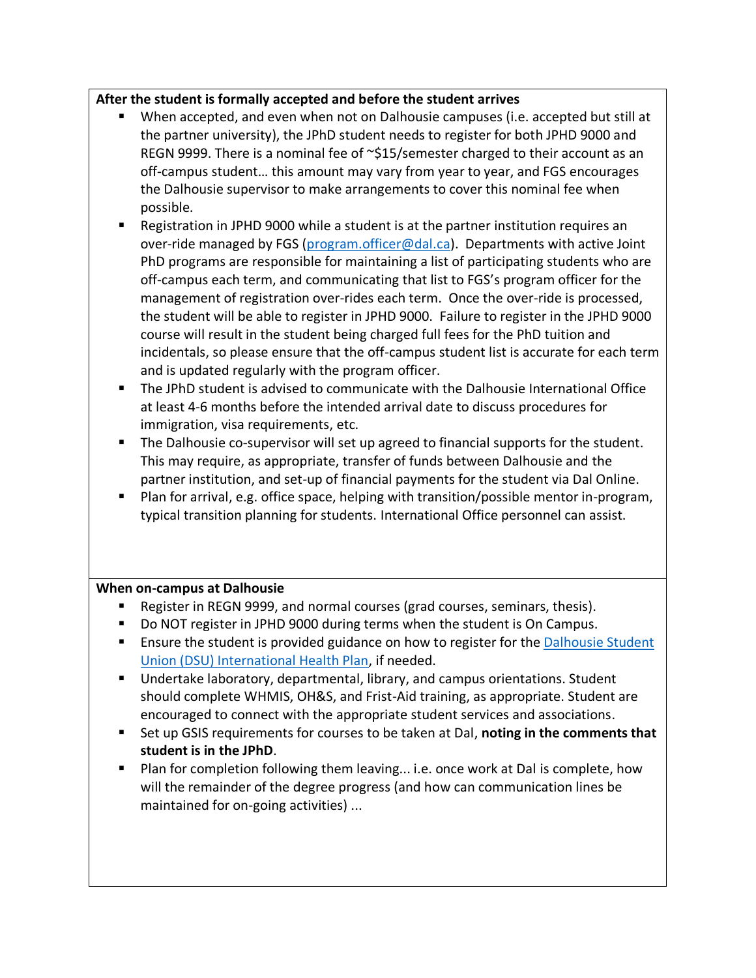## **After the student is formally accepted and before the student arrives**

- When accepted, and even when not on Dalhousie campuses (i.e. accepted but still at the partner university), the JPhD student needs to register for both JPHD 9000 and REGN 9999. There is a nominal fee of ~\$15/semester charged to their account as an off-campus student… this amount may vary from year to year, and FGS encourages the Dalhousie supervisor to make arrangements to cover this nominal fee when possible.
- Registration in JPHD 9000 while a student is at the partner institution requires an over-ride managed by FGS [\(program.officer@dal.ca\)](mailto:program.officer@dal.ca). Departments with active Joint PhD programs are responsible for maintaining a list of participating students who are off-campus each term, and communicating that list to FGS's program officer for the management of registration over-rides each term. Once the over-ride is processed, the student will be able to register in JPHD 9000. Failure to register in the JPHD 9000 course will result in the student being charged full fees for the PhD tuition and incidentals, so please ensure that the off-campus student list is accurate for each term and is updated regularly with the program officer.
- The JPhD student is advised to communicate with the Dalhousie International Office at least 4-6 months before the intended arrival date to discuss procedures for immigration, visa requirements, etc.
- The Dalhousie co-supervisor will set up agreed to financial supports for the student. This may require, as appropriate, transfer of funds between Dalhousie and the partner institution, and set-up of financial payments for the student via Dal Online.
- Plan for arrival, e.g. office space, helping with transition/possible mentor in-program, typical transition planning for students. International Office personnel can assist.

## **When on-campus at Dalhousie**

- Register in REGN 9999, and normal courses (grad courses, seminars, thesis).
- Do NOT register in JPHD 9000 during terms when the student is On Campus.
- Ensure the student is provided guidance on how to register for the Dalhousie Student [Union \(DSU\) International Health Plan,](http://www.internationalhealth.ca/Default.aspx) if needed.
- Undertake laboratory, departmental, library, and campus orientations. Student should complete WHMIS, OH&S, and Frist-Aid training, as appropriate. Student are encouraged to connect with the appropriate student services and associations.
- Set up GSIS requirements for courses to be taken at Dal, noting in the comments that **student is in the JPhD**.
- Plan for completion following them leaving... i.e. once work at Dal is complete, how will the remainder of the degree progress (and how can communication lines be maintained for on-going activities) ...